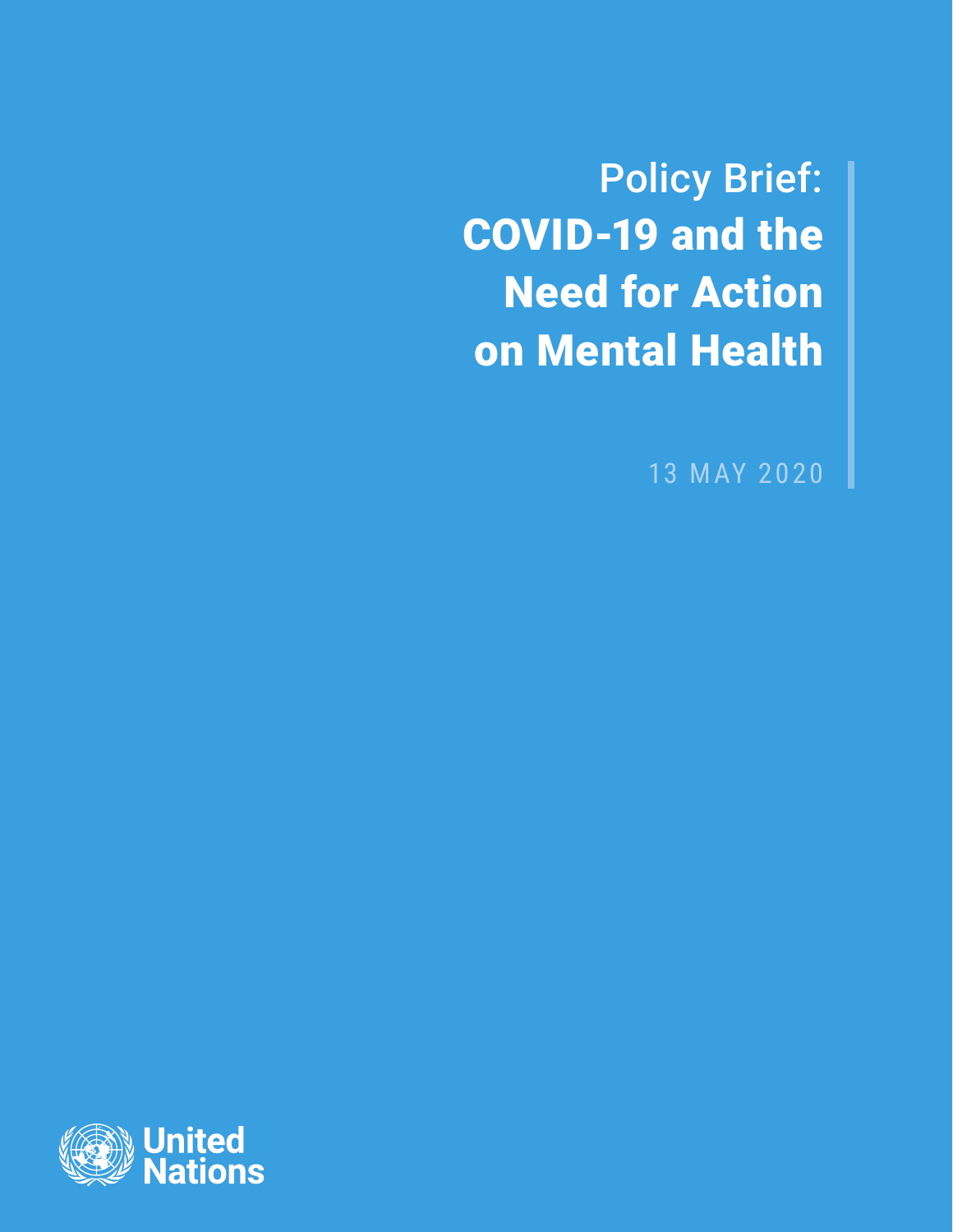Policy Brief: COVID-19 and the Need for Action on Mental Health

13 MAY 2020

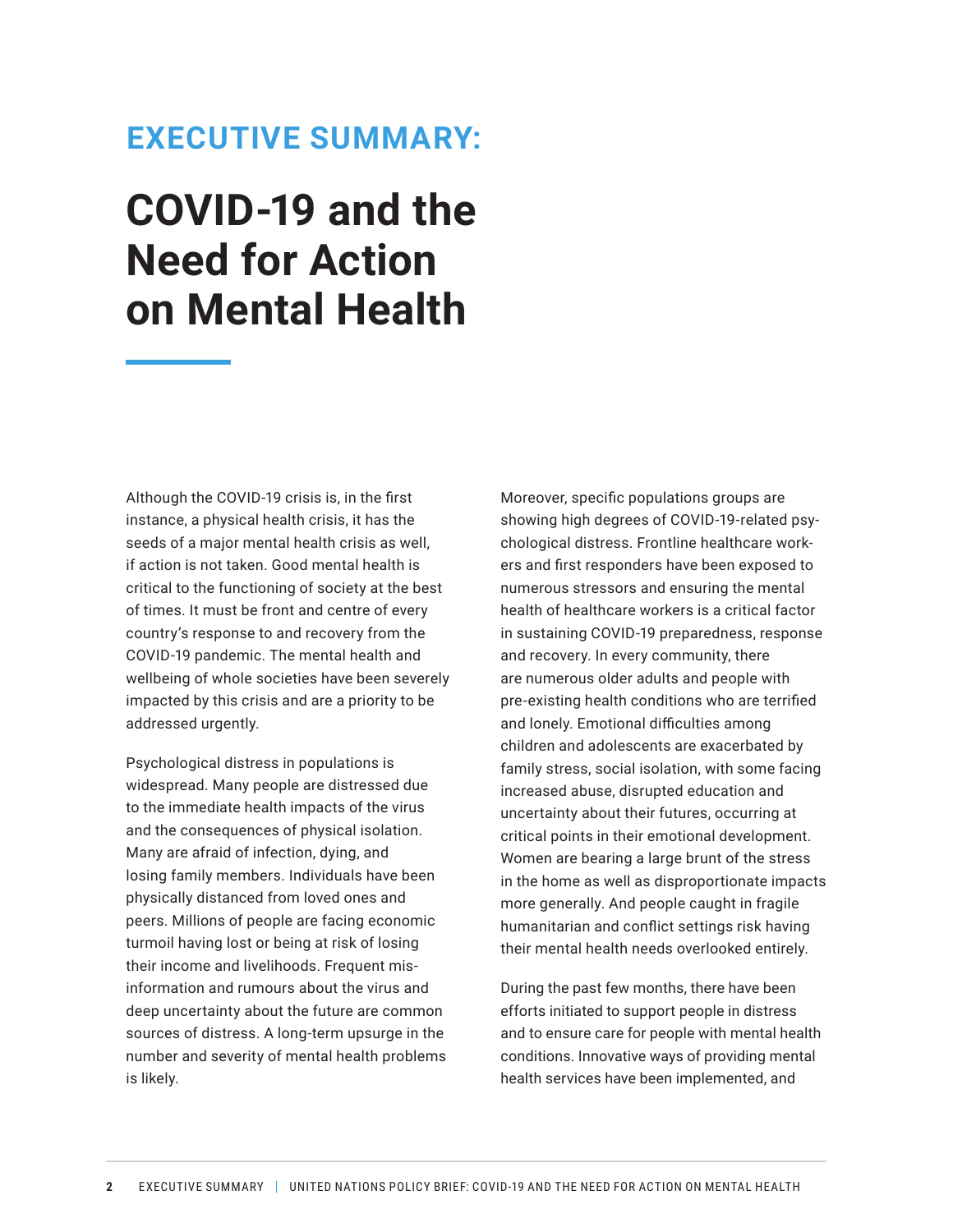## **EXECUTIVE SUMMARY:**

# **COVID-19 and the Need for Action on Mental Health**

Although the COVID-19 crisis is, in the first instance, a physical health crisis, it has the seeds of a major mental health crisis as well, if action is not taken. Good mental health is critical to the functioning of society at the best of times. It must be front and centre of every country's response to and recovery from the COVID-19 pandemic. The mental health and wellbeing of whole societies have been severely impacted by this crisis and are a priority to be addressed urgently.

Psychological distress in populations is widespread. Many people are distressed due to the immediate health impacts of the virus and the consequences of physical isolation. Many are afraid of infection, dying, and losing family members. Individuals have been physically distanced from loved ones and peers. Millions of people are facing economic turmoil having lost or being at risk of losing their income and livelihoods. Frequent misinformation and rumours about the virus and deep uncertainty about the future are common sources of distress. A long-term upsurge in the number and severity of mental health problems is likely.

Moreover, specific populations groups are showing high degrees of COVID-19-related psychological distress. Frontline healthcare workers and first responders have been exposed to numerous stressors and ensuring the mental health of healthcare workers is a critical factor in sustaining COVID-19 preparedness, response and recovery. In every community, there are numerous older adults and people with pre-existing health conditions who are terrified and lonely. Emotional difficulties among children and adolescents are exacerbated by family stress, social isolation, with some facing increased abuse, disrupted education and uncertainty about their futures, occurring at critical points in their emotional development. Women are bearing a large brunt of the stress in the home as well as disproportionate impacts more generally. And people caught in fragile humanitarian and conflict settings risk having their mental health needs overlooked entirely.

During the past few months, there have been efforts initiated to support people in distress and to ensure care for people with mental health conditions. Innovative ways of providing mental health services have been implemented, and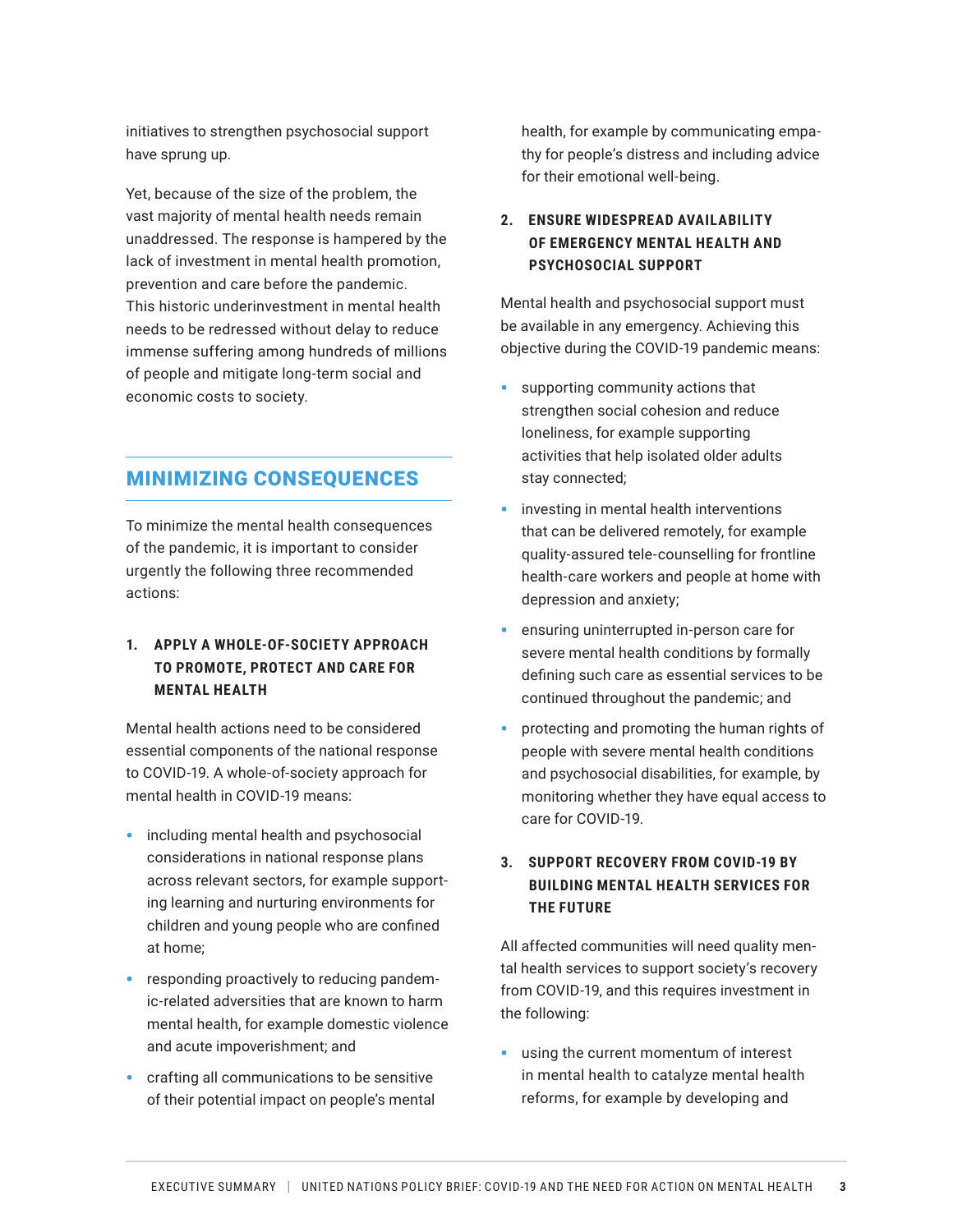initiatives to strengthen psychosocial support have sprung up.

Yet, because of the size of the problem, the vast majority of mental health needs remain unaddressed. The response is hampered by the lack of investment in mental health promotion, prevention and care before the pandemic. This historic underinvestment in mental health needs to be redressed without delay to reduce immense suffering among hundreds of millions of people and mitigate long-term social and economic costs to society.

### MINIMIZING CONSEQUENCES

To minimize the mental health consequences of the pandemic, it is important to consider urgently the following three recommended actions:

#### **1. APPLY A WHOLE-OF-SOCIETY APPROACH TO PROMOTE, PROTECT AND CARE FOR MENTAL HEALTH**

Mental health actions need to be considered essential components of the national response to COVID-19. A whole-of-society approach for mental health in COVID-19 means:

- including mental health and psychosocial considerations in national response plans across relevant sectors, for example supporting learning and nurturing environments for children and young people who are confined at home;
- responding proactively to reducing pandemic-related adversities that are known to harm mental health, for example domestic violence and acute impoverishment; and
- crafting all communications to be sensitive of their potential impact on people's mental

health, for example by communicating empathy for people's distress and including advice for their emotional well-being.

#### **2. ENSURE WIDESPREAD AVAILABILITY OF EMERGENCY MENTAL HEALTH AND PSYCHOSOCIAL SUPPORT**

Mental health and psychosocial support must be available in any emergency. Achieving this objective during the COVID-19 pandemic means:

- supporting community actions that strengthen social cohesion and reduce loneliness, for example supporting activities that help isolated older adults stay connected;
- investing in mental health interventions that can be delivered remotely, for example quality-assured tele-counselling for frontline health-care workers and people at home with depression and anxiety;
- ensuring uninterrupted in-person care for severe mental health conditions by formally defining such care as essential services to be continued throughout the pandemic; and
- protecting and promoting the human rights of people with severe mental health conditions and psychosocial disabilities, for example, by monitoring whether they have equal access to care for COVID-19.

### **3. SUPPORT RECOVERY FROM COVID-19 BY BUILDING MENTAL HEALTH SERVICES FOR THE FUTURE**

All affected communities will need quality mental health services to support society's recovery from COVID-19, and this requires investment in the following:

• using the current momentum of interest in mental health to catalyze mental health reforms, for example by developing and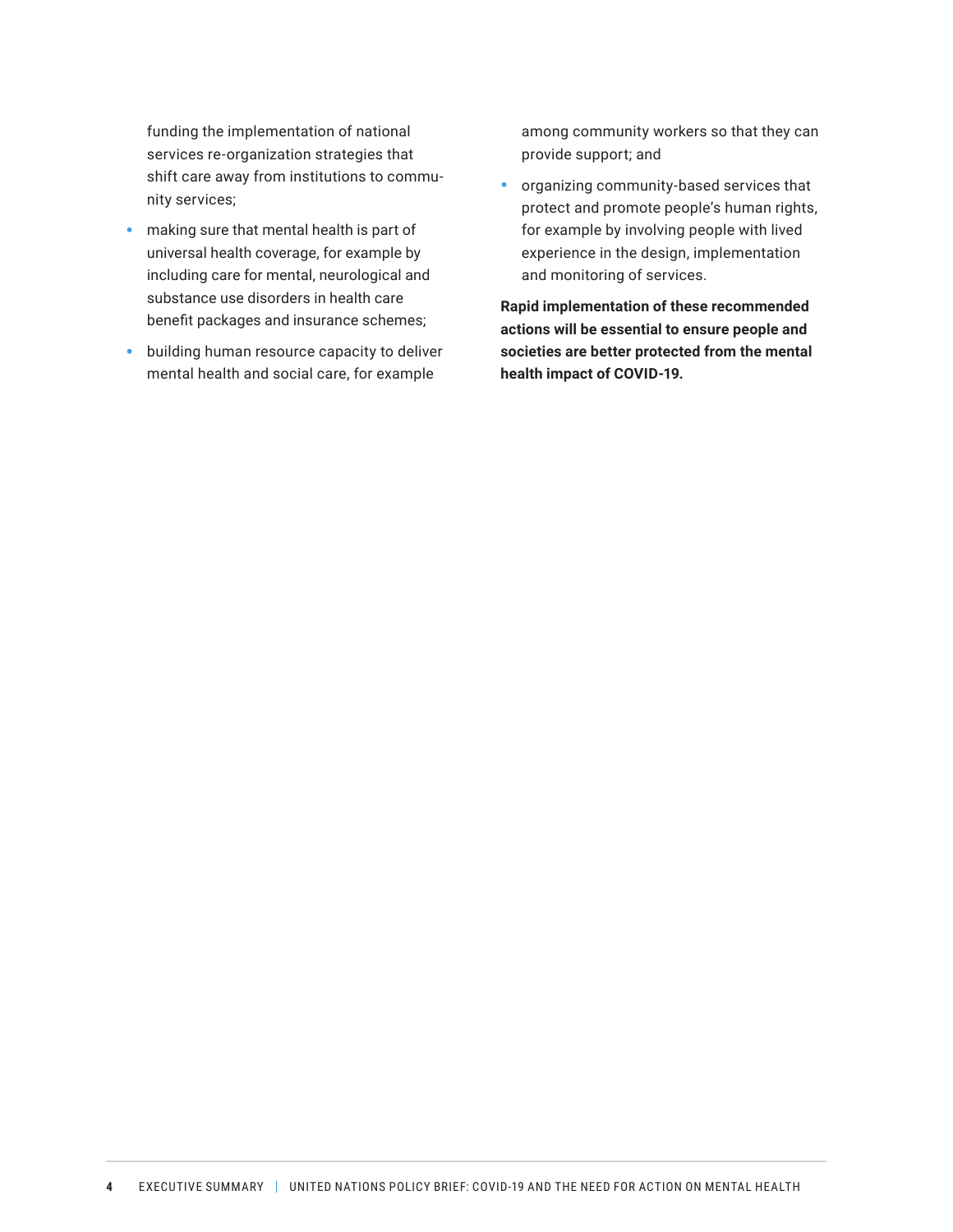funding the implementation of national services re-organization strategies that shift care away from institutions to community services;

- making sure that mental health is part of universal health coverage, for example by including care for mental, neurological and substance use disorders in health care benefit packages and insurance schemes;
- building human resource capacity to deliver mental health and social care, for example

among community workers so that they can provide support; and

• organizing community-based services that protect and promote people's human rights, for example by involving people with lived experience in the design, implementation and monitoring of services.

**Rapid implementation of these recommended actions will be essential to ensure people and societies are better protected from the mental health impact of COVID-19.**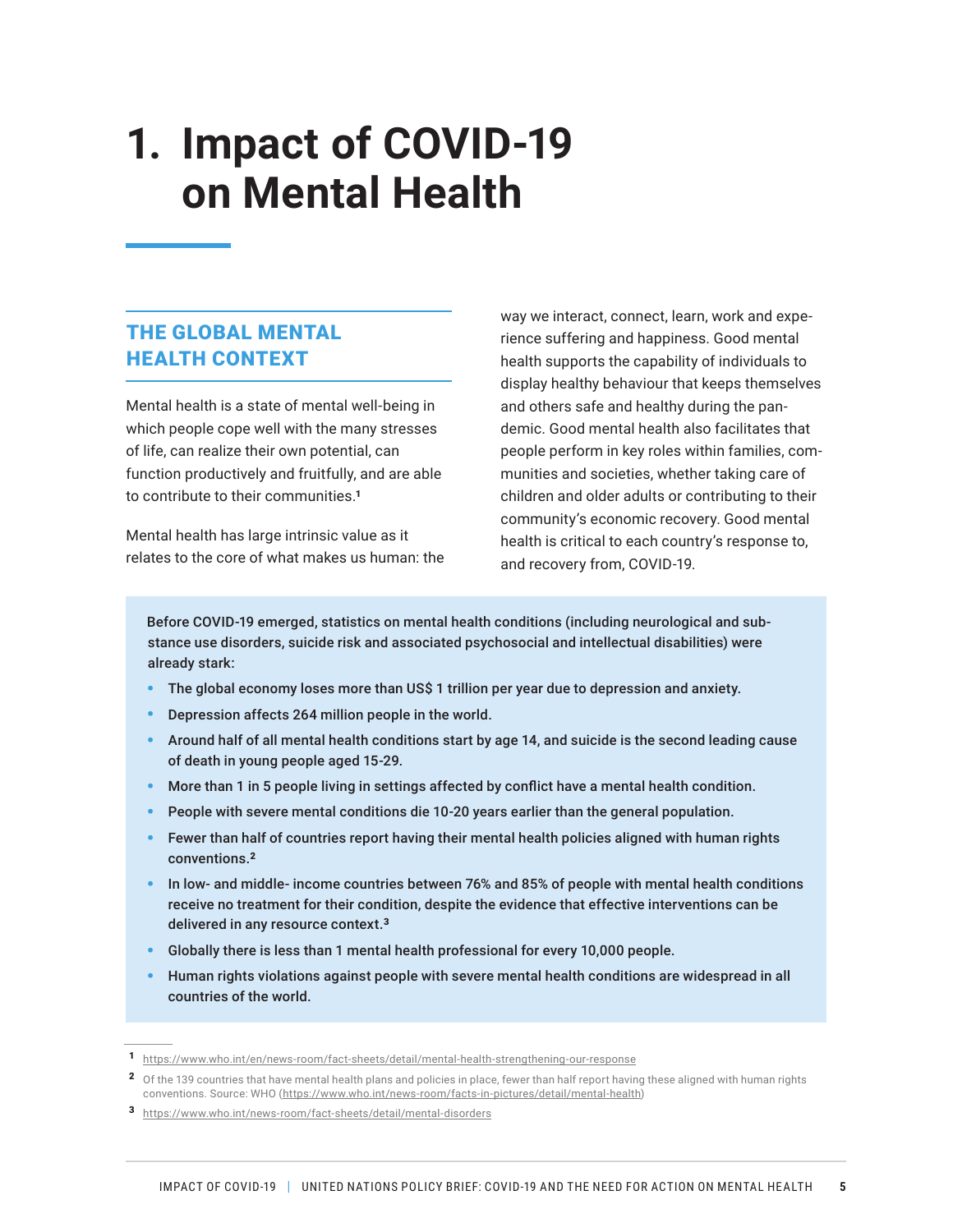## **1. Impact of COVID-19 on Mental Health**

## THE GLOBAL MENTAL HEALTH CONTEXT

Mental health is a state of mental well-being in which people cope well with the many stresses of life, can realize their own potential, can function productively and fruitfully, and are able to contribute to their communities.<sup>1</sup>

Mental health has large intrinsic value as it relates to the core of what makes us human: the way we interact, connect, learn, work and experience suffering and happiness. Good mental health supports the capability of individuals to display healthy behaviour that keeps themselves and others safe and healthy during the pandemic. Good mental health also facilitates that people perform in key roles within families, communities and societies, whether taking care of children and older adults or contributing to their community's economic recovery. Good mental health is critical to each country's response to, and recovery from, COVID-19.

Before COVID-19 emerged, statistics on mental health conditions (including neurological and substance use disorders, suicide risk and associated psychosocial and intellectual disabilities) were already stark:

- The global economy loses more than US\$ 1 trillion per year due to depression and anxiety.
- Depression affects 264 million people in the world.
- Around half of all mental health conditions start by age 14, and suicide is the second leading cause of death in young people aged 15-29.
- More than 1 in 5 people living in settings affected by conflict have a mental health condition.
- People with severe mental conditions die 10-20 years earlier than the general population.
- Fewer than half of countries report having their mental health policies aligned with human rights conventions.<sup>2</sup>
- In low- and middle- income countries between 76% and 85% of people with mental health conditions receive no treatment for their condition, despite the evidence that effective interventions can be delivered in any resource context.<sup>3</sup>
- Globally there is less than 1 mental health professional for every 10,000 people.
- Human rights violations against people with severe mental health conditions are widespread in all countries of the world.

<sup>1</sup> https://www.who.int/en/news-room/fact-sheets/detail/mental-health-strengthening-our-response

<sup>2</sup> Of the 139 countries that have mental health plans and policies in place, fewer than half report having these aligned with human rights conventions. Source: WHO (https://www.who.int/news-room/facts-in-pictures/detail/mental-health)

<sup>3</sup> https://www.who.int/news-room/fact-sheets/detail/mental-disorders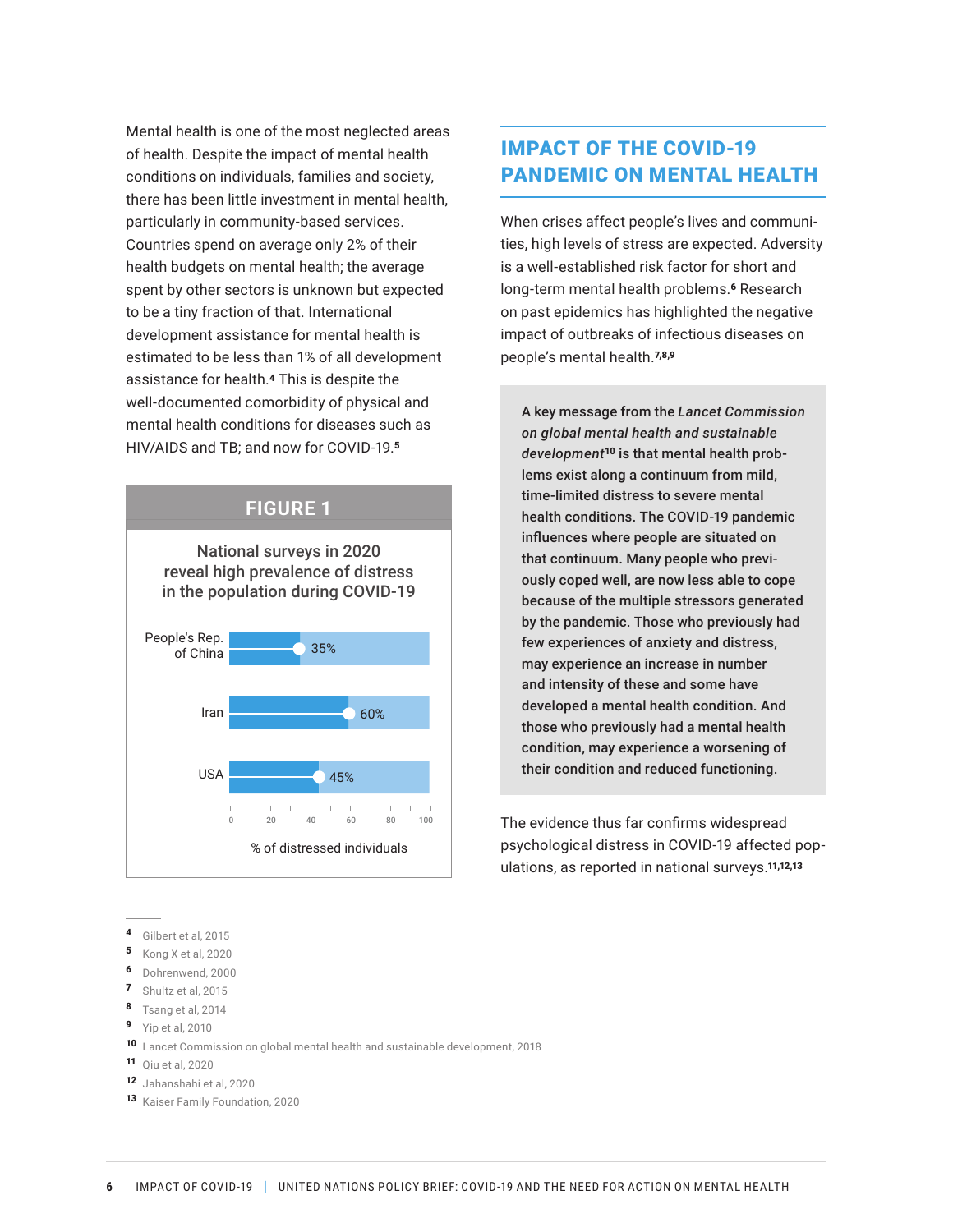Mental health is one of the most neglected areas of health. Despite the impact of mental health conditions on individuals, families and society, there has been little investment in mental health, particularly in community-based services. Countries spend on average only 2% of their health budgets on mental health; the average spent by other sectors is unknown but expected to be a tiny fraction of that. International development assistance for mental health is estimated to be less than 1% of all development assistance for health.4 This is despite the well-documented comorbidity of physical and mental health conditions for diseases such as HIV/AIDS and TB; and now for COVID-19.<sup>5</sup>



<sup>4</sup> Gilbert et al, 2015

- **5** Kong X et al, 2020
- <sup>6</sup> Dohrenwend, 2000
- <sup>7</sup> Shultz et al, 2015
- 8 Tsang et al, 2014
- <sup>9</sup> Yip et al, 2010
- <sup>10</sup> Lancet Commission on global mental health and sustainable development, 2018
- <sup>11</sup> Qiu et al, 2020
- <sup>12</sup> Jahanshahi et al, 2020
- 13 Kaiser Family Foundation, 2020

## IMPACT OF THE COVID-19 PANDEMIC ON MENTAL HEALTH

When crises affect people's lives and communities, high levels of stress are expected. Adversity is a well-established risk factor for short and long-term mental health problems.<sup>6</sup> Research on past epidemics has highlighted the negative impact of outbreaks of infectious diseases on people's mental health.7,8,9

A key message from the *Lancet Commission on global mental health and sustainable development*10 is that mental health problems exist along a continuum from mild, time-limited distress to severe mental health conditions. The COVID-19 pandemic influences where people are situated on that continuum. Many people who previously coped well, are now less able to cope because of the multiple stressors generated by the pandemic. Those who previously had few experiences of anxiety and distress, may experience an increase in number and intensity of these and some have developed a mental health condition. And those who previously had a mental health condition, may experience a worsening of their condition and reduced functioning.

The evidence thus far confirms widespread psychological distress in COVID-19 affected populations, as reported in national surveys.11,12,13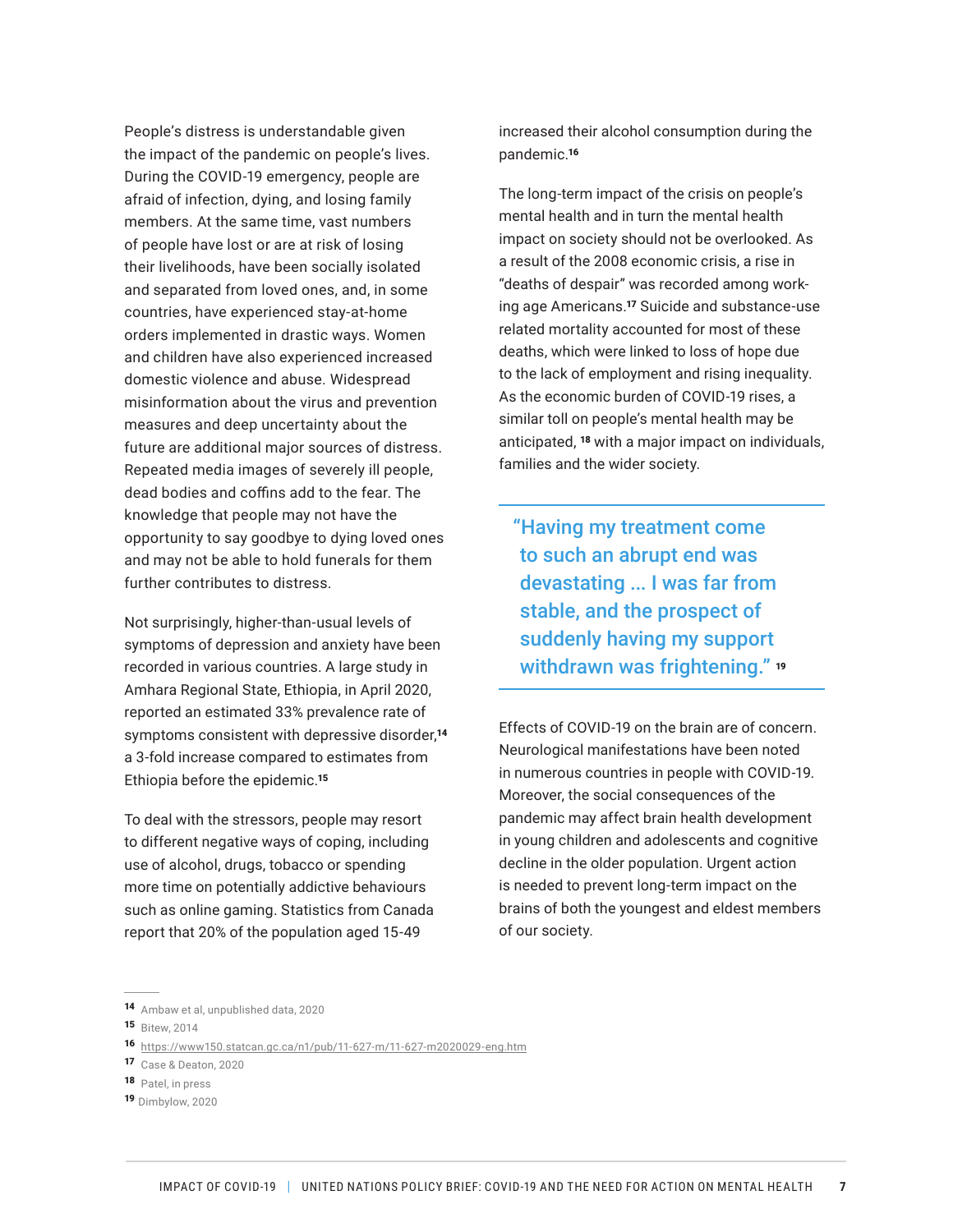People's distress is understandable given the impact of the pandemic on people's lives. During the COVID-19 emergency, people are afraid of infection, dying, and losing family members. At the same time, vast numbers of people have lost or are at risk of losing their livelihoods, have been socially isolated and separated from loved ones, and, in some countries, have experienced stay-at-home orders implemented in drastic ways. Women and children have also experienced increased domestic violence and abuse. Widespread misinformation about the virus and prevention measures and deep uncertainty about the future are additional major sources of distress. Repeated media images of severely ill people, dead bodies and coffins add to the fear. The knowledge that people may not have the opportunity to say goodbye to dying loved ones and may not be able to hold funerals for them further contributes to distress.

Not surprisingly, higher-than-usual levels of symptoms of depression and anxiety have been recorded in various countries. A large study in Amhara Regional State, Ethiopia, in April 2020, reported an estimated 33% prevalence rate of symptoms consistent with depressive disorder,<sup>14</sup> a 3-fold increase compared to estimates from Ethiopia before the epidemic.<sup>15</sup>

To deal with the stressors, people may resort to different negative ways of coping, including use of alcohol, drugs, tobacco or spending more time on potentially addictive behaviours such as online gaming. Statistics from Canada report that 20% of the population aged 15-49

increased their alcohol consumption during the pandemic.<sup>16</sup>

The long-term impact of the crisis on people's mental health and in turn the mental health impact on society should not be overlooked. As a result of the 2008 economic crisis, a rise in "deaths of despair" was recorded among working age Americans.17 Suicide and substance-use related mortality accounted for most of these deaths, which were linked to loss of hope due to the lack of employment and rising inequality. As the economic burden of COVID-19 rises, a similar toll on people's mental health may be anticipated, 18 with a major impact on individuals, families and the wider society.

"Having my treatment come to such an abrupt end was devastating ... I was far from stable, and the prospect of suddenly having my support withdrawn was frightening." 19

Effects of COVID-19 on the brain are of concern. Neurological manifestations have been noted in numerous countries in people with COVID-19. Moreover, the social consequences of the pandemic may affect brain health development in young children and adolescents and cognitive decline in the older population. Urgent action is needed to prevent long-term impact on the brains of both the youngest and eldest members of our society.

<sup>19</sup> Dimbylow, 2020

<sup>14</sup> Ambaw et al, unpublished data, 2020

<sup>15</sup> Bitew, 2014

<sup>16</sup> https://www150.statcan.gc.ca/n1/pub/11-627-m/11-627-m2020029-eng.htm

<sup>17</sup> Case & Deaton, 2020

<sup>18</sup> Patel, in press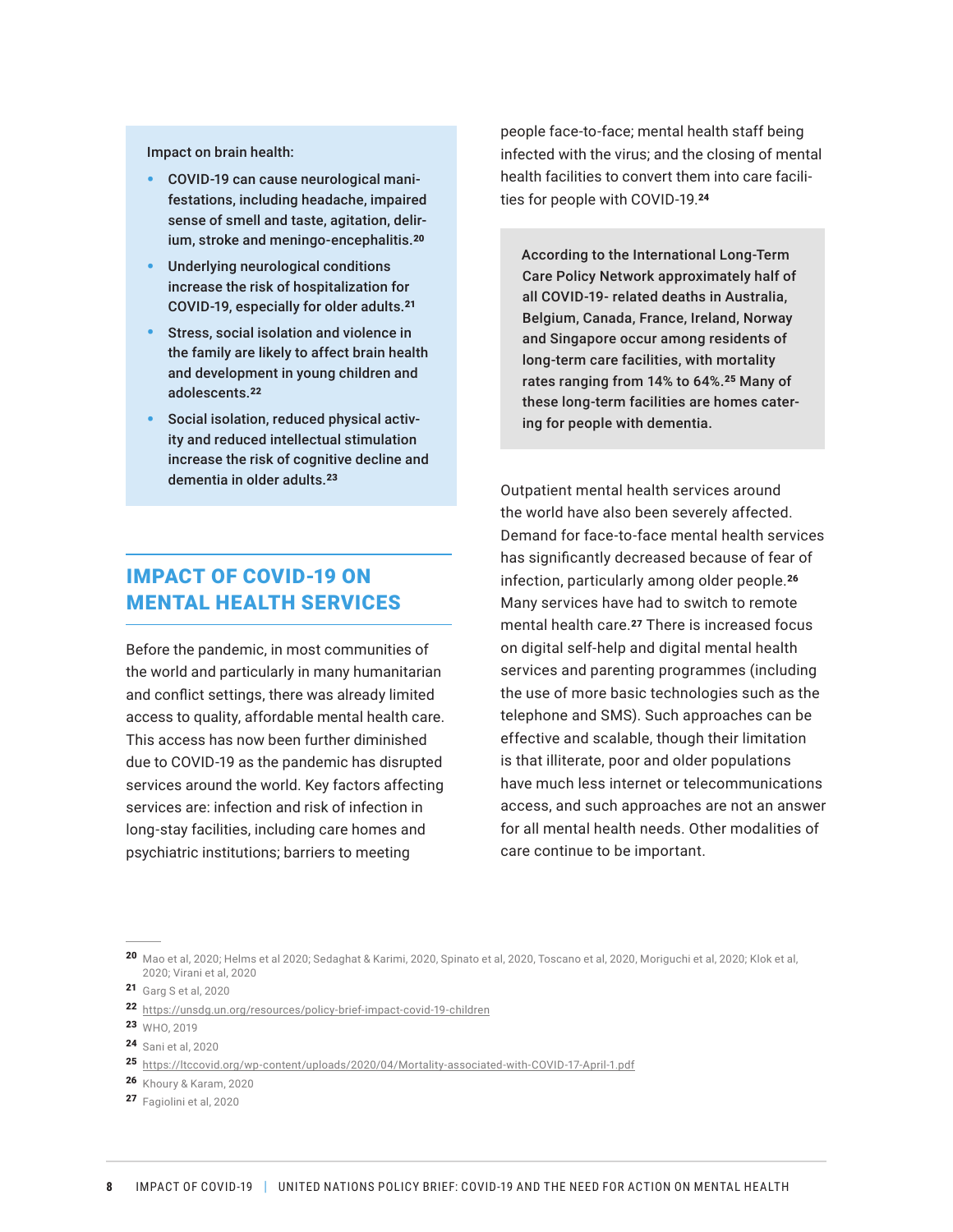Impact on brain health:

- COVID-19 can cause neurological manifestations, including headache, impaired sense of smell and taste, agitation, delirium, stroke and meningo-encephalitis.<sup>20</sup>
- Underlying neurological conditions increase the risk of hospitalization for COVID-19, especially for older adults.<sup>21</sup>
- Stress, social isolation and violence in the family are likely to affect brain health and development in young children and adolescents.<sup>22</sup>
- Social isolation, reduced physical activity and reduced intellectual stimulation increase the risk of cognitive decline and dementia in older adults.<sup>23</sup>

### IMPACT OF COVID-19 ON MENTAL HEALTH SERVICES

Before the pandemic, in most communities of the world and particularly in many humanitarian and conflict settings, there was already limited access to quality, affordable mental health care. This access has now been further diminished due to COVID-19 as the pandemic has disrupted services around the world. Key factors affecting services are: infection and risk of infection in long-stay facilities, including care homes and psychiatric institutions; barriers to meeting

people face-to-face; mental health staff being infected with the virus; and the closing of mental health facilities to convert them into care facilities for people with COVID-19.<sup>24</sup>

According to the International Long-Term Care Policy Network approximately half of all COVID-19- related deaths in Australia, Belgium, Canada, France, Ireland, Norway and Singapore occur among residents of long-term care facilities, with mortality rates ranging from 14% to 64%.<sup>25</sup> Many of these long-term facilities are homes catering for people with dementia.

Outpatient mental health services around the world have also been severely affected. Demand for face-to-face mental health services has significantly decreased because of fear of infection, particularly among older people.<sup>26</sup> Many services have had to switch to remote mental health care.<sup>27</sup> There is increased focus on digital self-help and digital mental health services and parenting programmes (including the use of more basic technologies such as the telephone and SMS). Such approaches can be effective and scalable, though their limitation is that illiterate, poor and older populations have much less internet or telecommunications access, and such approaches are not an answer for all mental health needs. Other modalities of care continue to be important.

- <sup>22</sup> https://unsdg.un.org/resources/policy-brief-impact-covid-19-children
- <sup>23</sup> WHO, 2019
- <sup>24</sup> Sani et al, 2020
- <sup>25</sup> https://ltccovid.org/wp-content/uploads/2020/04/Mortality-associated-with-COVID-17-April-1.pdf
- <sup>26</sup> Khoury & Karam, 2020
- 27 Fagiolini et al. 2020

<sup>20</sup> Mao et al, 2020; Helms et al 2020; Sedaghat & Karimi, 2020, Spinato et al, 2020, Toscano et al, 2020, Moriguchi et al, 2020; Klok et al, 2020; Virani et al, 2020

<sup>21</sup> Garg S et al, 2020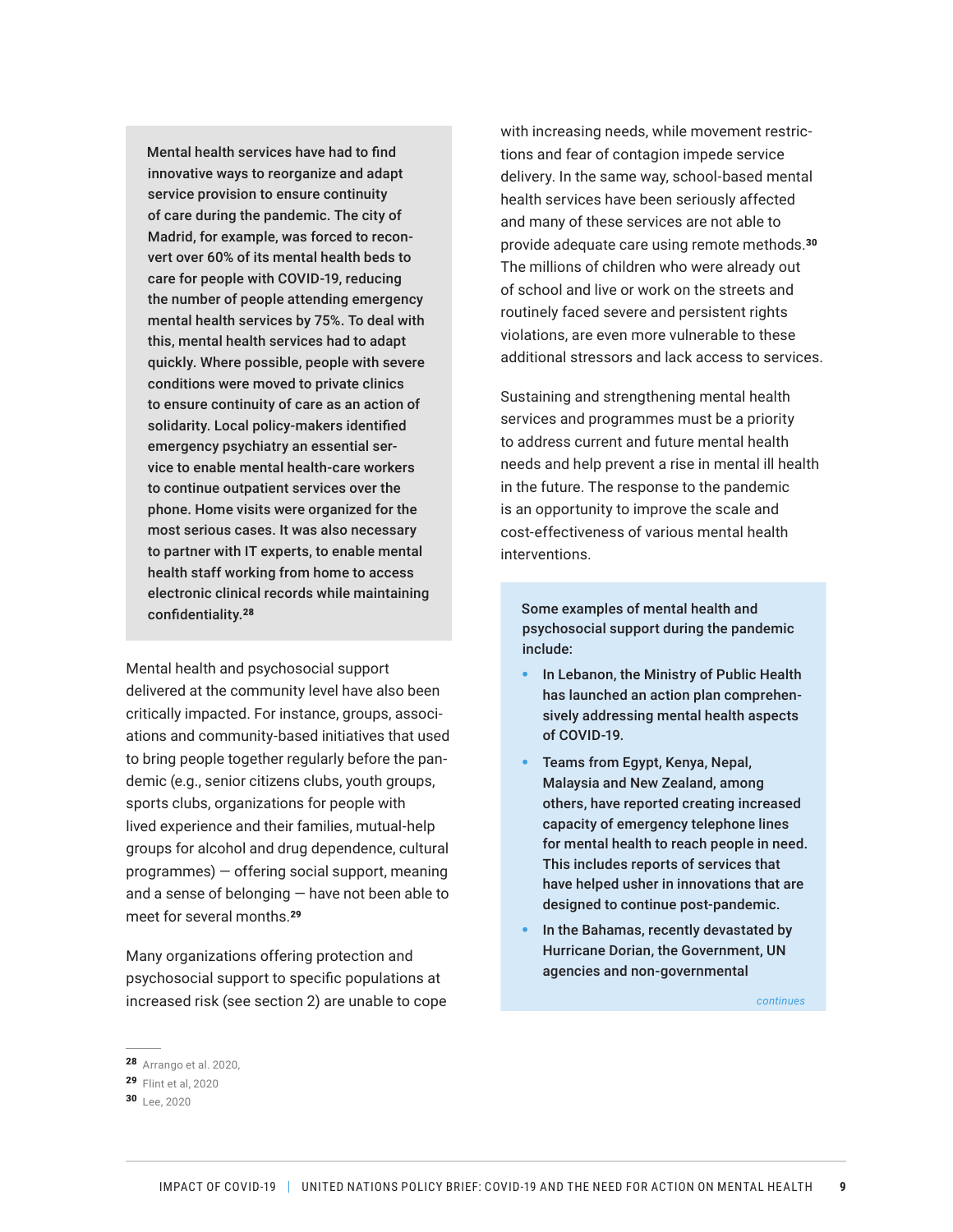Mental health services have had to find innovative ways to reorganize and adapt service provision to ensure continuity of care during the pandemic. The city of Madrid, for example, was forced to reconvert over 60% of its mental health beds to care for people with COVID-19, reducing the number of people attending emergency mental health services by 75%. To deal with this, mental health services had to adapt quickly. Where possible, people with severe conditions were moved to private clinics to ensure continuity of care as an action of solidarity. Local policy-makers identified emergency psychiatry an essential service to enable mental health-care workers to continue outpatient services over the phone. Home visits were organized for the most serious cases. It was also necessary to partner with IT experts, to enable mental health staff working from home to access electronic clinical records while maintaining confidentiality.<sup>28</sup>

Mental health and psychosocial support delivered at the community level have also been critically impacted. For instance, groups, associations and community-based initiatives that used to bring people together regularly before the pandemic (e.g., senior citizens clubs, youth groups, sports clubs, organizations for people with lived experience and their families, mutual-help groups for alcohol and drug dependence, cultural programmes) — offering social support, meaning and a sense of belonging — have not been able to meet for several months.<sup>29</sup>

Many organizations offering protection and psychosocial support to specific populations at increased risk (see section 2) are unable to cope with increasing needs, while movement restrictions and fear of contagion impede service delivery. In the same way, school-based mental health services have been seriously affected and many of these services are not able to provide adequate care using remote methods.<sup>30</sup> The millions of children who were already out of school and live or work on the streets and routinely faced severe and persistent rights violations, are even more vulnerable to these additional stressors and lack access to services.

Sustaining and strengthening mental health services and programmes must be a priority to address current and future mental health needs and help prevent a rise in mental ill health in the future. The response to the pandemic is an opportunity to improve the scale and cost-effectiveness of various mental health interventions.

Some examples of mental health and psychosocial support during the pandemic include:

- In Lebanon, the Ministry of Public Health has launched an action plan comprehensively addressing mental health aspects of COVID-19.
- Teams from Egypt, Kenya, Nepal, Malaysia and New Zealand, among others, have reported creating increased capacity of emergency telephone lines for mental health to reach people in need. This includes reports of services that have helped usher in innovations that are designed to continue post-pandemic.
- In the Bahamas, recently devastated by Hurricane Dorian, the Government, UN agencies and non-governmental

*continues*

<sup>28</sup> Arrango et al. 2020,

<sup>29</sup> Flint et al, 2020

<sup>30</sup> Lee, 2020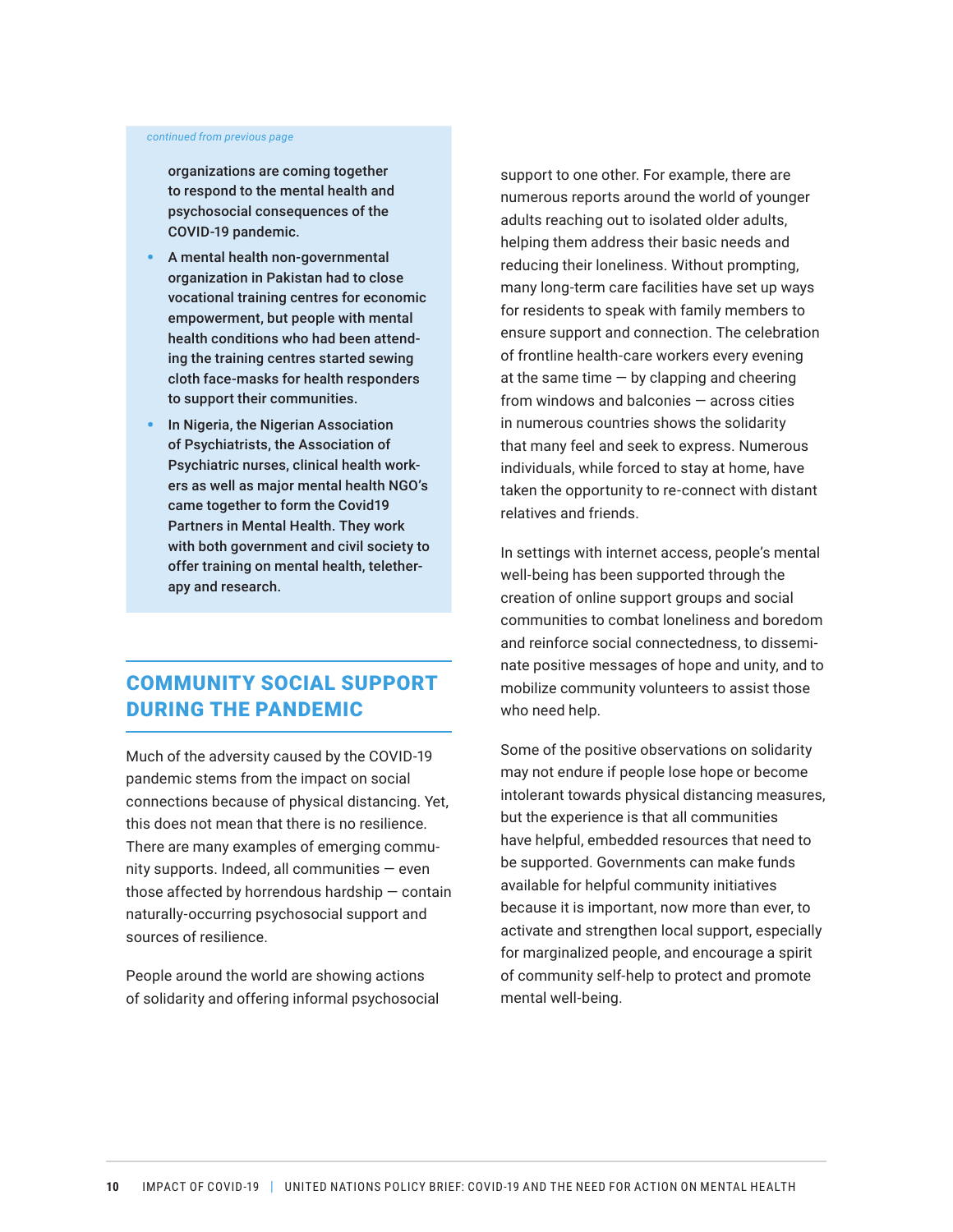#### *continued from previous page*

organizations are coming together to respond to the mental health and psychosocial consequences of the COVID-19 pandemic.

- A mental health non-governmental organization in Pakistan had to close vocational training centres for economic empowerment, but people with mental health conditions who had been attending the training centres started sewing cloth face-masks for health responders to support their communities.
- In Nigeria, the Nigerian Association of Psychiatrists, the Association of Psychiatric nurses, clinical health workers as well as major mental health NGO's came together to form the Covid19 Partners in Mental Health. They work with both government and civil society to offer training on mental health, teletherapy and research.

### COMMUNITY SOCIAL SUPPORT DURING THE PANDEMIC

Much of the adversity caused by the COVID-19 pandemic stems from the impact on social connections because of physical distancing. Yet, this does not mean that there is no resilience. There are many examples of emerging community supports. Indeed, all communities — even those affected by horrendous hardship — contain naturally-occurring psychosocial support and sources of resilience.

People around the world are showing actions of solidarity and offering informal psychosocial support to one other. For example, there are numerous reports around the world of younger adults reaching out to isolated older adults, helping them address their basic needs and reducing their loneliness. Without prompting, many long-term care facilities have set up ways for residents to speak with family members to ensure support and connection. The celebration of frontline health-care workers every evening at the same time  $-$  by clapping and cheering from windows and balconies — across cities in numerous countries shows the solidarity that many feel and seek to express. Numerous individuals, while forced to stay at home, have taken the opportunity to re-connect with distant relatives and friends.

In settings with internet access, people's mental well-being has been supported through the creation of online support groups and social communities to combat loneliness and boredom and reinforce social connectedness, to disseminate positive messages of hope and unity, and to mobilize community volunteers to assist those who need help.

Some of the positive observations on solidarity may not endure if people lose hope or become intolerant towards physical distancing measures, but the experience is that all communities have helpful, embedded resources that need to be supported. Governments can make funds available for helpful community initiatives because it is important, now more than ever, to activate and strengthen local support, especially for marginalized people, and encourage a spirit of community self-help to protect and promote mental well-being.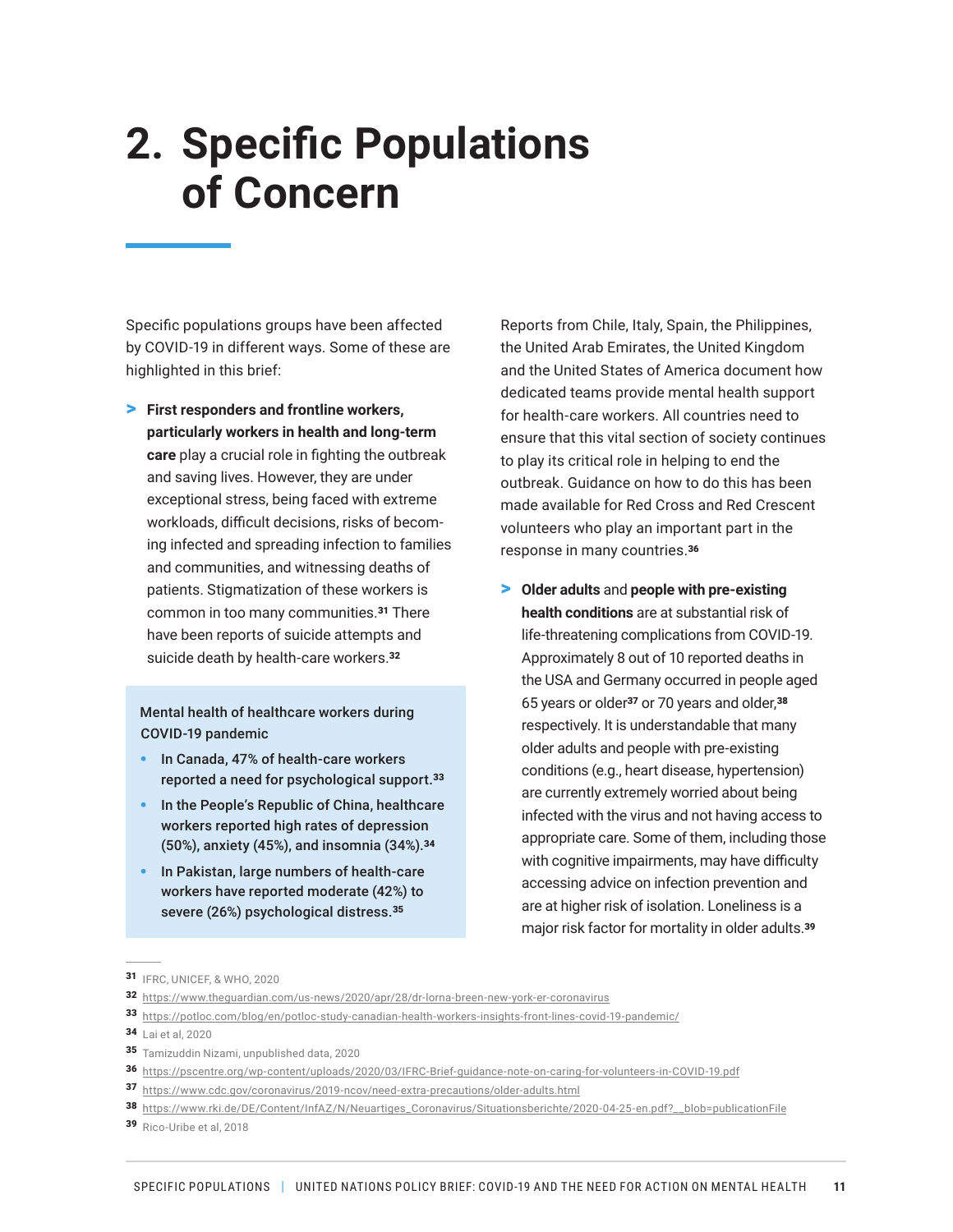## **2. Specific Populations of Concern**

Specific populations groups have been affected by COVID-19 in different ways. Some of these are highlighted in this brief:

> **First responders and frontline workers, particularly workers in health and long-term care** play a crucial role in fighting the outbreak and saving lives. However, they are under exceptional stress, being faced with extreme workloads, difficult decisions, risks of becoming infected and spreading infection to families and communities, and witnessing deaths of patients. Stigmatization of these workers is common in too many communities.31 There have been reports of suicide attempts and suicide death by health-care workers.<sup>32</sup>

Mental health of healthcare workers during COVID-19 pandemic

- In Canada, 47% of health-care workers reported a need for psychological support.<sup>33</sup>
- In the People's Republic of China, healthcare workers reported high rates of depression (50%), anxiety (45%), and insomnia (34%).<sup>34</sup>
- In Pakistan, large numbers of health-care workers have reported moderate (42%) to severe (26%) psychological distress.<sup>35</sup>

Reports from Chile, Italy, Spain, the Philippines, the United Arab Emirates, the United Kingdom and the United States of America document how dedicated teams provide mental health support for health-care workers. All countries need to ensure that this vital section of society continues to play its critical role in helping to end the outbreak. Guidance on how to do this has been made available for Red Cross and Red Crescent volunteers who play an important part in the response in many countries.<sup>36</sup>

> **Older adults** and **people with pre-existing health conditions** are at substantial risk of life-threatening complications from COVID-19. Approximately 8 out of 10 reported deaths in the USA and Germany occurred in people aged 65 years or older<sup>37</sup> or 70 years and older,<sup>38</sup> respectively. It is understandable that many older adults and people with pre-existing conditions (e.g., heart disease, hypertension) are currently extremely worried about being infected with the virus and not having access to appropriate care. Some of them, including those with cognitive impairments, may have difficulty accessing advice on infection prevention and are at higher risk of isolation. Loneliness is a major risk factor for mortality in older adults.39

- <sup>32</sup> https://www.theguardian.com/us-news/2020/apr/28/dr-lorna-breen-new-york-er-coronavirus
- <sup>33</sup> https://potloc.com/blog/en/potloc-study-canadian-health-workers-insights-front-lines-covid-19-pandemic/

- <sup>35</sup> Tamizuddin Nizami, unpublished data, 2020
- <sup>36</sup> https://pscentre.org/wp-content/uploads/2020/03/IFRC-Brief-guidance-note-on-caring-for-volunteers-in-COVID-19.pdf
- <sup>37</sup> https://www.cdc.gov/coronavirus/2019-ncov/need-extra-precautions/older-adults.html
- <sup>38</sup> https://www.rki.de/DE/Content/InfAZ/N/Neuartiges\_Coronavirus/Situationsberichte/2020-04-25-en.pdf?\_\_blob=publicationFile
- <sup>39</sup> Rico-Uribe et al, 2018

**<sup>31</sup> IFRC, UNICEF, & WHO, 2020** 

**<sup>34</sup>** Lai et al, 2020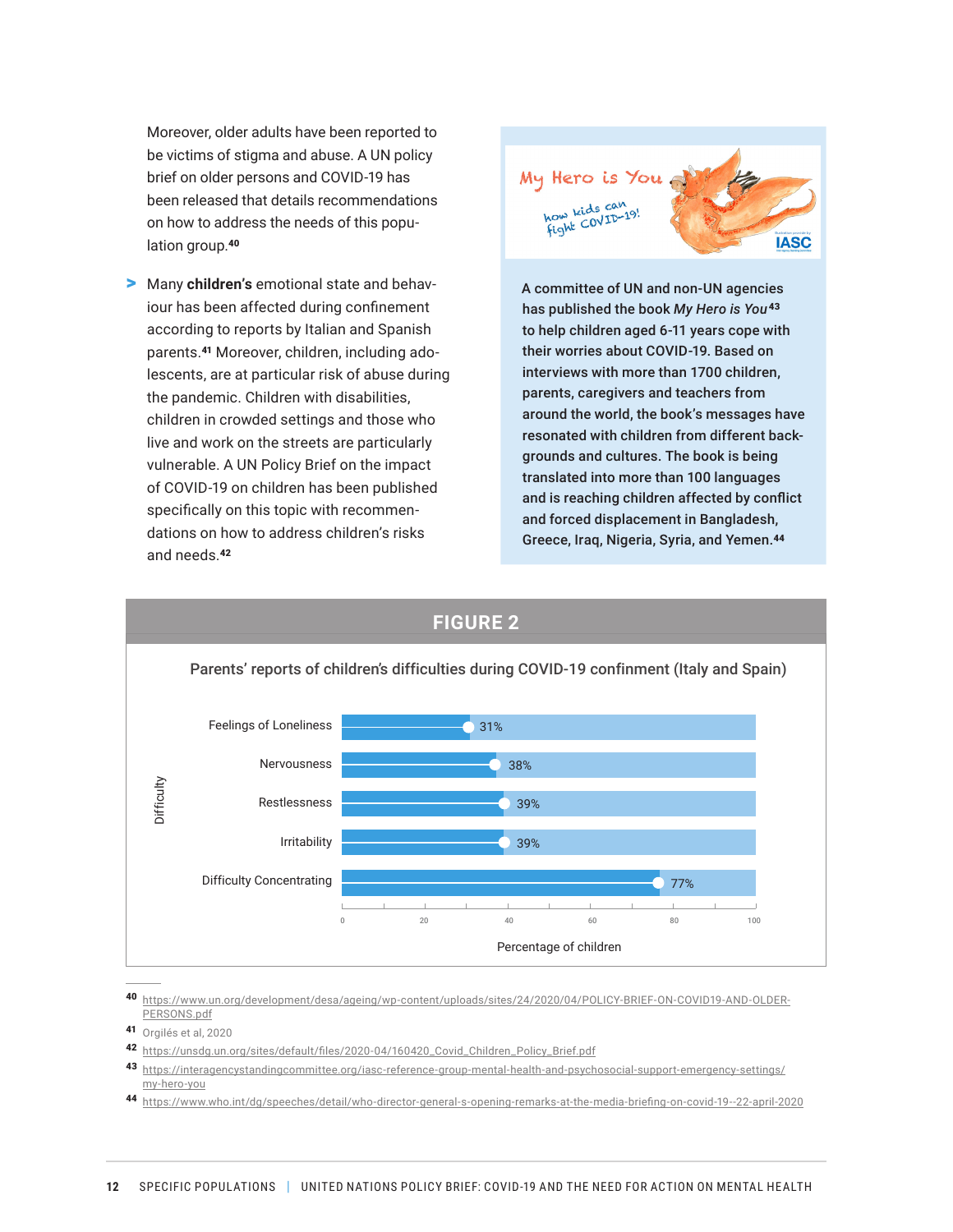Moreover, older adults have been reported to be victims of stigma and abuse. A UN policy brief on older persons and COVID-19 has been released that details recommendations on how to address the needs of this population group.<sup>40</sup>

> Many **children's** emotional state and behaviour has been affected during confinement according to reports by Italian and Spanish parents.41 Moreover, children, including adolescents, are at particular risk of abuse during the pandemic. Children with disabilities, children in crowded settings and those who live and work on the streets are particularly vulnerable. A UN Policy Brief on the impact of COVID-19 on children has been published specifically on this topic with recommendations on how to address children's risks and needs.<sup>42</sup>



A committee of UN and non-UN agencies has published the book *My Hero is You*<sup>43</sup> to help children aged 6-11 years cope with their worries about COVID-19. Based on interviews with more than 1700 children, parents, caregivers and teachers from around the world, the book's messages have resonated with children from different backgrounds and cultures. The book is being translated into more than 100 languages and is reaching children affected by conflict and forced displacement in Bangladesh, Greece, Iraq, Nigeria, Syria, and Yemen.<sup>44</sup>



<sup>40</sup> https://www.un.org/development/desa/ageing/wp-content/uploads/sites/24/2020/04/POLICY-BRIEF-ON-COVID19-AND-OLDER-PERSONS.pdf

<sup>41</sup> Orgilés et al, 2020

- <sup>42</sup> https://unsdg.un.org/sites/default/files/2020-04/160420\_Covid\_Children\_Policy\_Brief.pdf
- <sup>43</sup> [https://interagencystandingcommittee.org/iasc-reference-group-mental-health-and-psychosocial-support-emergency-settings/](https://interagencystandingcommittee.org/iasc-reference-group-mental-health-and-psychosocial-support-emergency-settings/my-hero-you) [my-hero-you](https://interagencystandingcommittee.org/iasc-reference-group-mental-health-and-psychosocial-support-emergency-settings/my-hero-you)
- <sup>44</sup> https://www.who.int/dg/speeches/detail/who-director-general-s-opening-remarks-at-the-media-briefing-on-covid-19--22-april-2020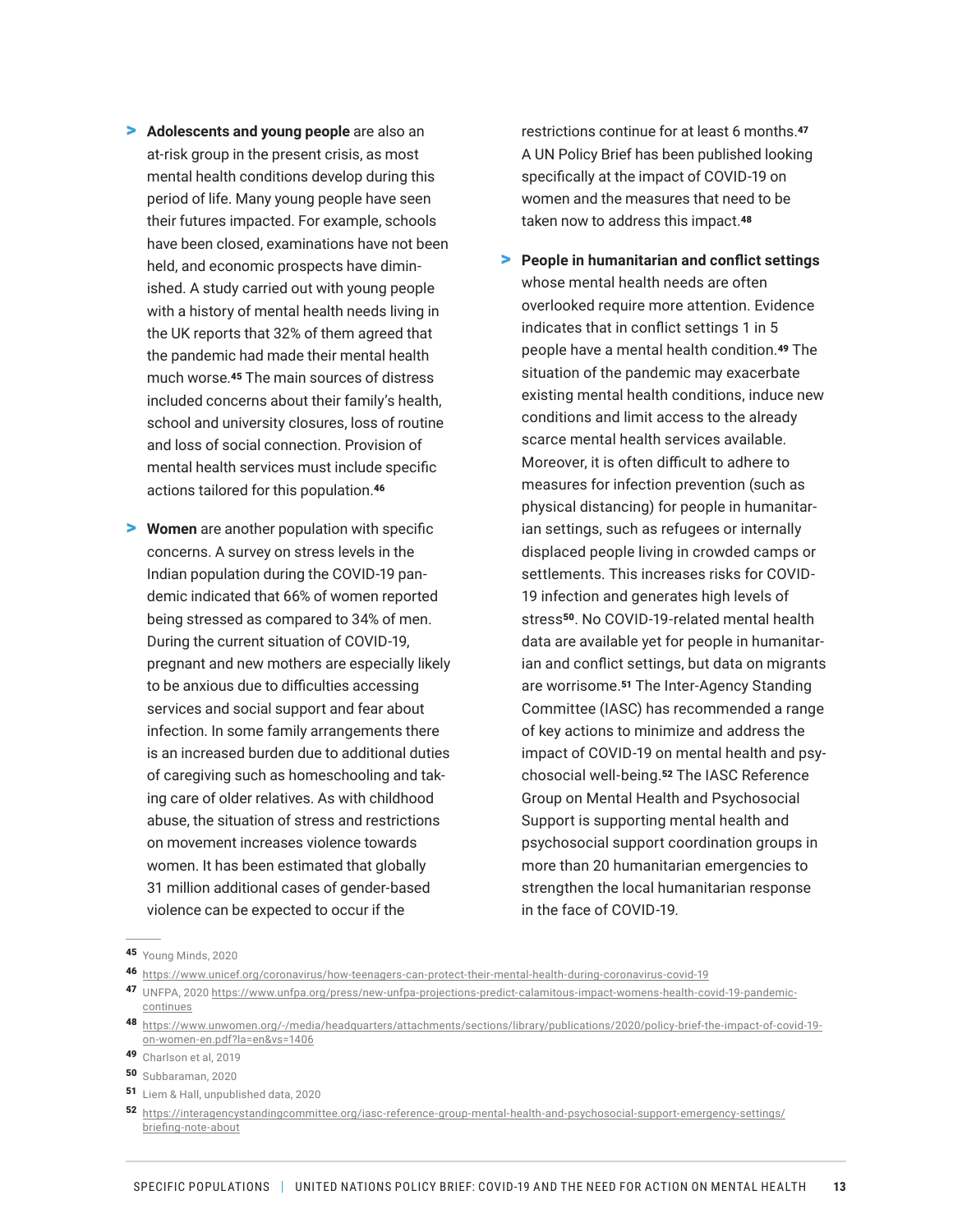- > **Adolescents and young people** are also an at-risk group in the present crisis, as most mental health conditions develop during this period of life. Many young people have seen their futures impacted. For example, schools have been closed, examinations have not been held, and economic prospects have diminished. A study carried out with young people with a history of mental health needs living in the UK reports that 32% of them agreed that the pandemic had made their mental health much worse.45 The main sources of distress included concerns about their family's health, school and university closures, loss of routine and loss of social connection. Provision of mental health services must include specific actions tailored for this population.<sup>46</sup>
- > **Women** are another population with specific concerns. A survey on stress levels in the Indian population during the COVID-19 pandemic indicated that 66% of women reported being stressed as compared to 34% of men. During the current situation of COVID-19, pregnant and new mothers are especially likely to be anxious due to difficulties accessing services and social support and fear about infection. In some family arrangements there is an increased burden due to additional duties of caregiving such as homeschooling and taking care of older relatives. As with childhood abuse, the situation of stress and restrictions on movement increases violence towards women. It has been estimated that globally 31 million additional cases of gender-based violence can be expected to occur if the

restrictions continue for at least 6 months.<sup>47</sup> A UN Policy Brief has been published looking specifically at the impact of COVID-19 on women and the measures that need to be taken now to address this impact.<sup>48</sup>

> **People in humanitarian and conflict settings** whose mental health needs are often overlooked require more attention. Evidence indicates that in conflict settings 1 in 5 people have a mental health condition.49 The situation of the pandemic may exacerbate existing mental health conditions, induce new conditions and limit access to the already scarce mental health services available. Moreover, it is often difficult to adhere to measures for infection prevention (such as physical distancing) for people in humanitarian settings, such as refugees or internally displaced people living in crowded camps or settlements. This increases risks for COVID-19 infection and generates high levels of stress<sup>50</sup>. No COVID-19-related mental health data are available yet for people in humanitarian and conflict settings, but data on migrants are worrisome.51 The Inter-Agency Standing Committee (IASC) has recommended a range of key actions to minimize and address the impact of COVID-19 on mental health and psychosocial well-being.52 The IASC Reference Group on Mental Health and Psychosocial Support is supporting mental health and psychosocial support coordination groups in more than 20 humanitarian emergencies to strengthen the local humanitarian response in the face of COVID-19.

<sup>46</sup> https://www.unicef.org/coronavirus/how-teenagers-can-protect-their-mental-health-during-coronavirus-covid-19

<sup>48</sup> https://www.unwomen.org/-/media/headquarters/attachments/sections/library/publications/2020/policy-brief-the-impact-of-covid-19 on-women-en.pdf?la=en&vs=1406

- **50** Subbaraman, 2020
- 51 Liem & Hall, unpublished data, 2020
- <sup>52</sup> [https://interagencystandingcommittee.org/iasc-reference-group-mental-health-and-psychosocial-support-emergency-settings/](https://interagencystandingcommittee.org/iasc-reference-group-mental-health-and-psychosocial-support-emergency-settings/briefing-note-about) [briefing-note-about](https://interagencystandingcommittee.org/iasc-reference-group-mental-health-and-psychosocial-support-emergency-settings/briefing-note-about)

<sup>45</sup> Young Minds, 2020

<sup>47</sup> UNFPA, 2020 [https://www.unfpa.org/press/new-unfpa-projections-predict-calamitous-impact-womens-health-covid-19-pandemic](https://www.unfpa.org/press/new-unfpa-projections-predict-calamitous-impact-womens-health-covid-19-pandemic-continues)[continues](https://www.unfpa.org/press/new-unfpa-projections-predict-calamitous-impact-womens-health-covid-19-pandemic-continues)

<sup>49</sup> Charlson et al, 2019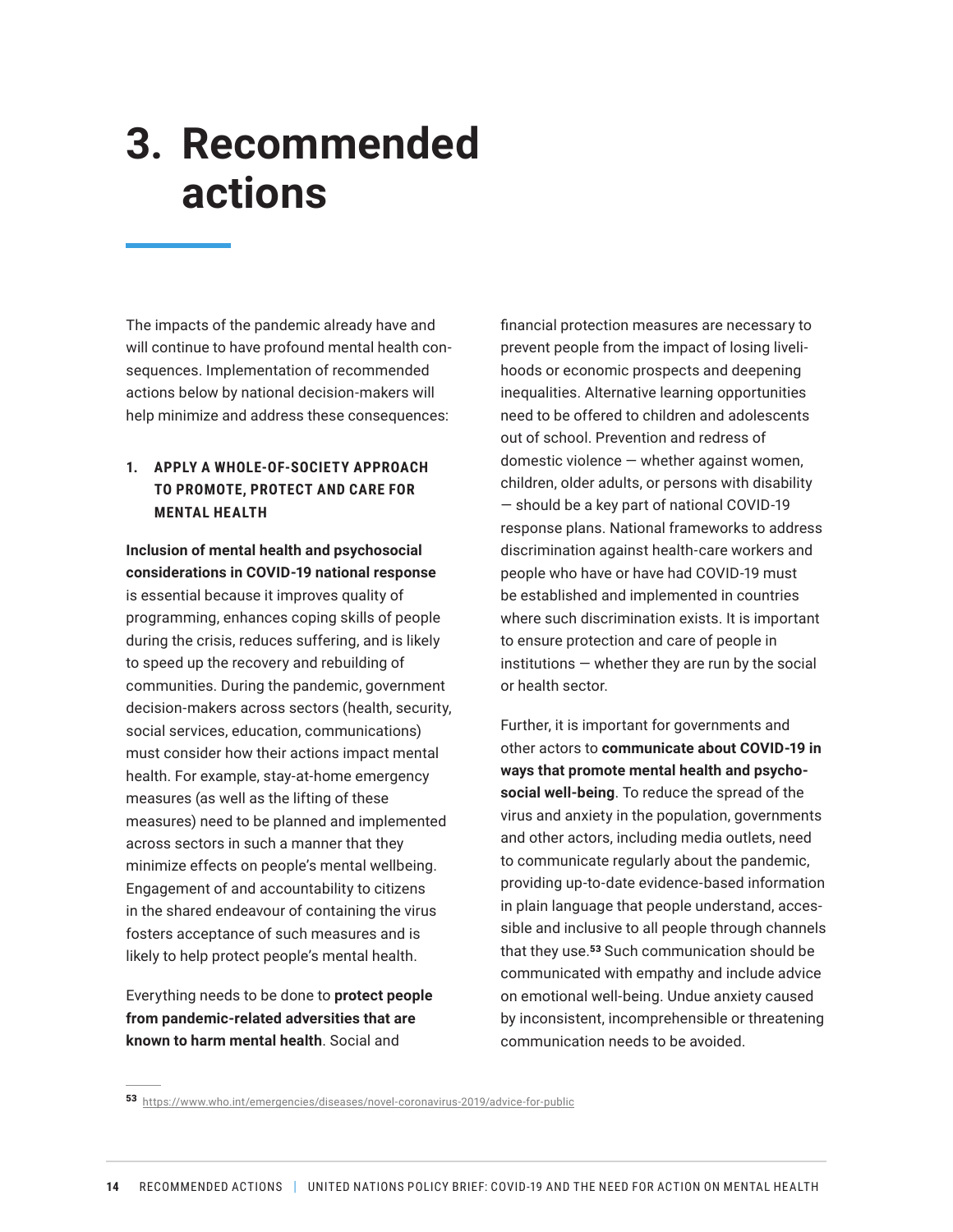## **3. Recommended actions**

The impacts of the pandemic already have and will continue to have profound mental health consequences. Implementation of recommended actions below by national decision-makers will help minimize and address these consequences:

#### **1. APPLY A WHOLE-OF-SOCIETY APPROACH TO PROMOTE, PROTECT AND CARE FOR MENTAL HEALTH**

**Inclusion of mental health and psychosocial considerations in COVID-19 national response** is essential because it improves quality of programming, enhances coping skills of people during the crisis, reduces suffering, and is likely to speed up the recovery and rebuilding of communities. During the pandemic, government decision-makers across sectors (health, security, social services, education, communications) must consider how their actions impact mental health. For example, stay-at-home emergency measures (as well as the lifting of these measures) need to be planned and implemented across sectors in such a manner that they minimize effects on people's mental wellbeing. Engagement of and accountability to citizens in the shared endeavour of containing the virus fosters acceptance of such measures and is likely to help protect people's mental health.

Everything needs to be done to **protect people from pandemic-related adversities that are known to harm mental health**. Social and

financial protection measures are necessary to prevent people from the impact of losing livelihoods or economic prospects and deepening inequalities. Alternative learning opportunities need to be offered to children and adolescents out of school. Prevention and redress of domestic violence — whether against women, children, older adults, or persons with disability — should be a key part of national COVID-19 response plans. National frameworks to address discrimination against health-care workers and people who have or have had COVID-19 must be established and implemented in countries where such discrimination exists. It is important to ensure protection and care of people in institutions — whether they are run by the social or health sector.

Further, it is important for governments and other actors to **communicate about COVID-19 in ways that promote mental health and psychosocial well-being**. To reduce the spread of the virus and anxiety in the population, governments and other actors, including media outlets, need to communicate regularly about the pandemic, providing up-to-date evidence-based information in plain language that people understand, accessible and inclusive to all people through channels that they use.<sup>53</sup> Such communication should be communicated with empathy and include advice on emotional well-being. Undue anxiety caused by inconsistent, incomprehensible or threatening communication needs to be avoided.

<sup>53</sup> https://www.who.int/emergencies/diseases/novel-coronavirus-2019/advice-for-public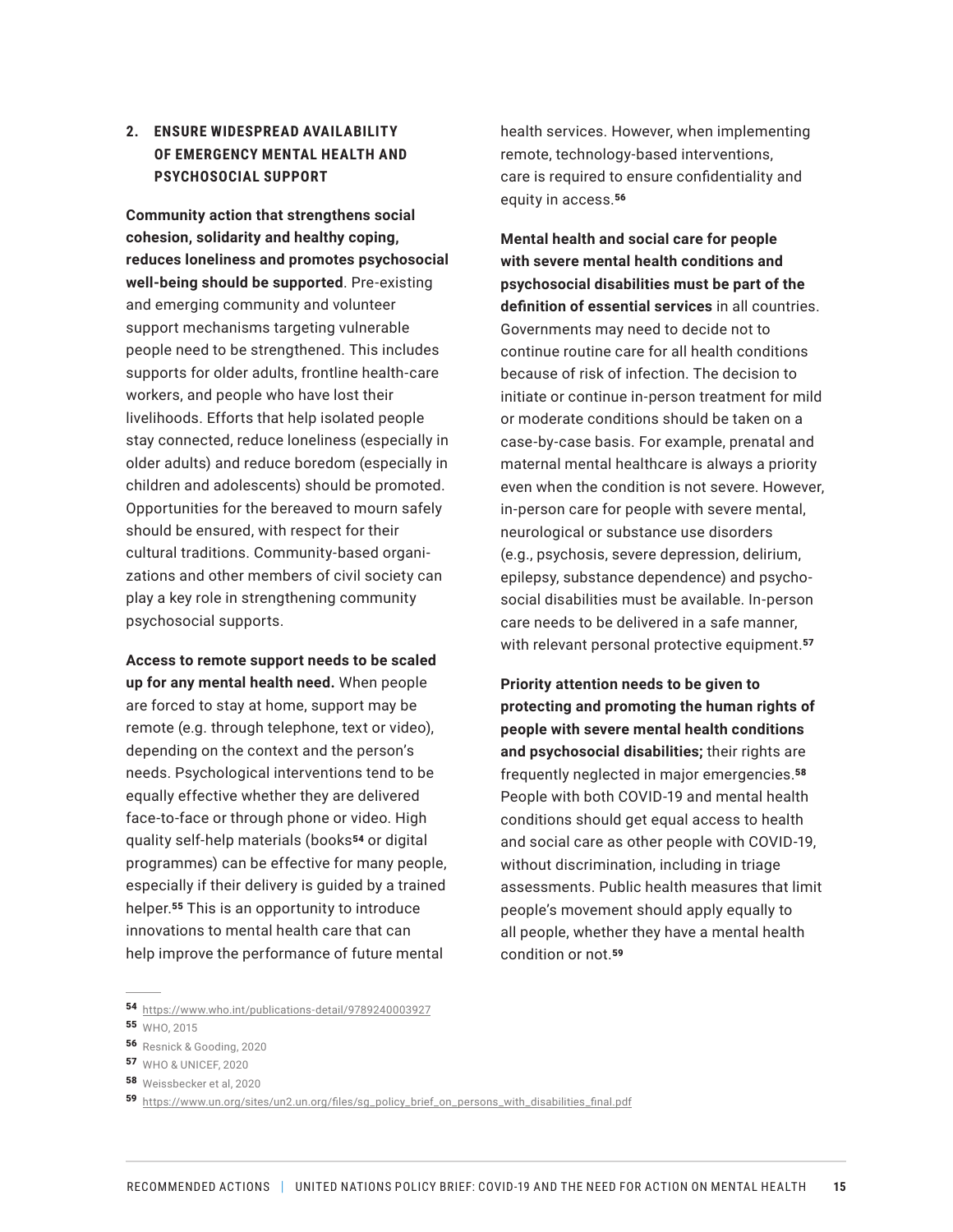#### **2. ENSURE WIDESPREAD AVAILABILITY OF EMERGENCY MENTAL HEALTH AND PSYCHOSOCIAL SUPPORT**

**Community action that strengthens social cohesion, solidarity and healthy coping, reduces loneliness and promotes psychosocial well-being should be supported**. Pre-existing and emerging community and volunteer support mechanisms targeting vulnerable people need to be strengthened. This includes supports for older adults, frontline health-care workers, and people who have lost their livelihoods. Efforts that help isolated people stay connected, reduce loneliness (especially in older adults) and reduce boredom (especially in children and adolescents) should be promoted. Opportunities for the bereaved to mourn safely should be ensured, with respect for their cultural traditions. Community-based organizations and other members of civil society can play a key role in strengthening community psychosocial supports.

**Access to remote support needs to be scaled up for any mental health need.** When people are forced to stay at home, support may be remote (e.g. through telephone, text or video), depending on the context and the person's needs. Psychological interventions tend to be equally effective whether they are delivered face-to-face or through phone or video. High quality self-help materials (books54 or digital programmes) can be effective for many people, especially if their delivery is guided by a trained helper.<sup>55</sup> This is an opportunity to introduce innovations to mental health care that can help improve the performance of future mental

health services. However, when implementing remote, technology-based interventions, care is required to ensure confidentiality and equity in access.<sup>56</sup>

**Mental health and social care for people with severe mental health conditions and psychosocial disabilities must be part of the definition of essential services** in all countries. Governments may need to decide not to continue routine care for all health conditions because of risk of infection. The decision to initiate or continue in-person treatment for mild or moderate conditions should be taken on a case-by-case basis. For example, prenatal and maternal mental healthcare is always a priority even when the condition is not severe. However, in-person care for people with severe mental, neurological or substance use disorders (e.g., psychosis, severe depression, delirium, epilepsy, substance dependence) and psychosocial disabilities must be available. In-person care needs to be delivered in a safe manner, with relevant personal protective equipment.<sup>57</sup>

**Priority attention needs to be given to protecting and promoting the human rights of people with severe mental health conditions and psychosocial disabilities;** their rights are frequently neglected in major emergencies.<sup>58</sup> People with both COVID-19 and mental health conditions should get equal access to health and social care as other people with COVID-19, without discrimination, including in triage assessments. Public health measures that limit people's movement should apply equally to all people, whether they have a mental health condition or not.59

<sup>56</sup> Resnick & Gooding, 2020

<sup>58</sup> Weissbecker et al, 2020

<sup>54</sup> https://www.who.int/publications-detail/9789240003927

<sup>55</sup> WHO, 2015

**<sup>57</sup>** WHO & UNICEF, 2020

<sup>59</sup> https://www.un.org/sites/un2.un.org/files/sg\_policy\_brief\_on\_persons\_with\_disabilities\_final.pdf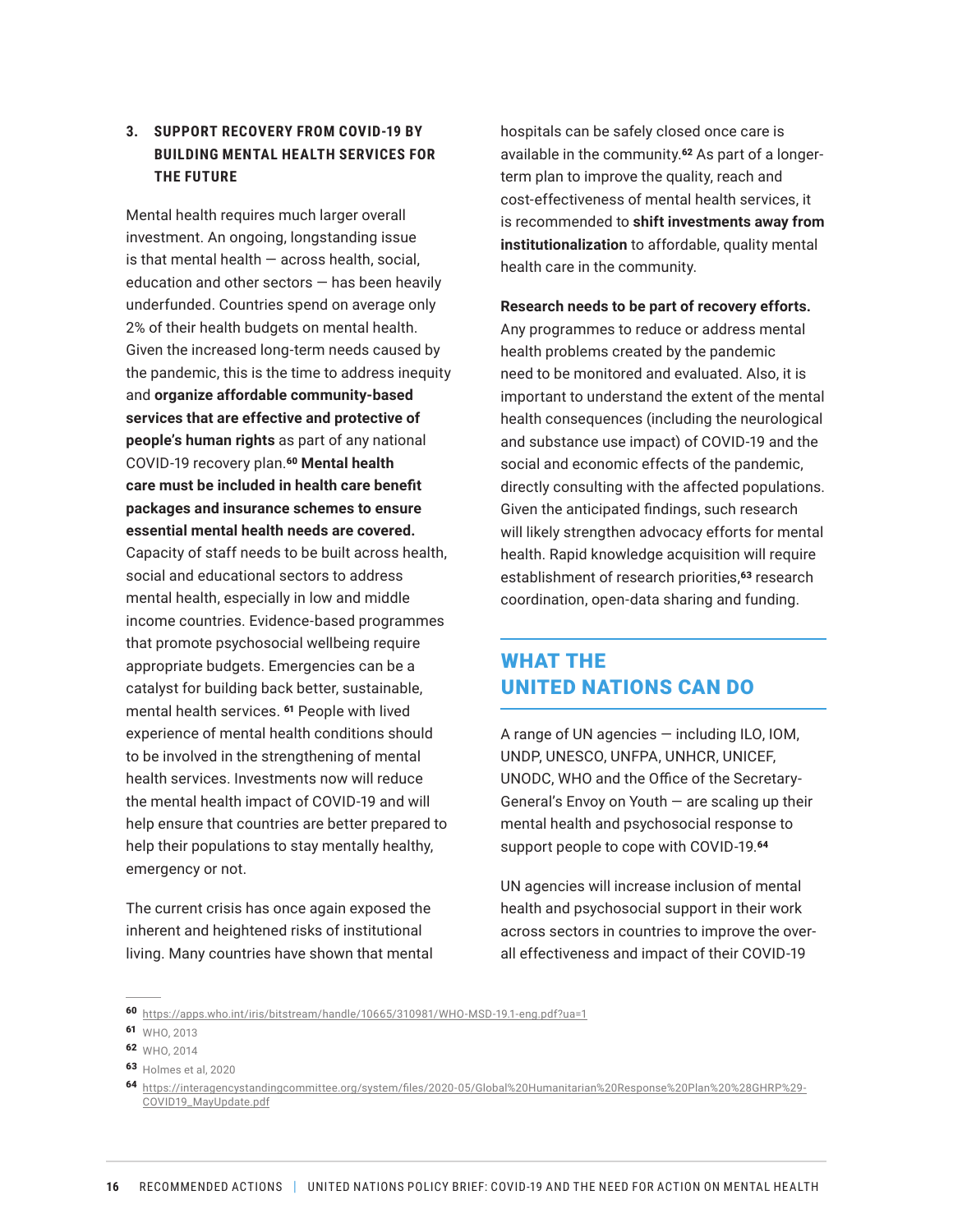#### **3. SUPPORT RECOVERY FROM COVID-19 BY BUILDING MENTAL HEALTH SERVICES FOR THE FUTURE**

Mental health requires much larger overall investment. An ongoing, longstanding issue is that mental health  $-$  across health, social, education and other sectors — has been heavily underfunded. Countries spend on average only 2% of their health budgets on mental health. Given the increased long-term needs caused by the pandemic, this is the time to address inequity and **organize affordable community-based services that are effective and protective of people's human rights** as part of any national COVID-19 recovery plan.<sup>60</sup> **Mental health care must be included in health care benefit packages and insurance schemes to ensure essential mental health needs are covered.** Capacity of staff needs to be built across health, social and educational sectors to address mental health, especially in low and middle income countries. Evidence-based programmes that promote psychosocial wellbeing require appropriate budgets. Emergencies can be a catalyst for building back better, sustainable, mental health services. <sup>61</sup> People with lived experience of mental health conditions should to be involved in the strengthening of mental health services. Investments now will reduce the mental health impact of COVID-19 and will help ensure that countries are better prepared to help their populations to stay mentally healthy, emergency or not.

The current crisis has once again exposed the inherent and heightened risks of institutional living. Many countries have shown that mental hospitals can be safely closed once care is available in the community.62 As part of a longerterm plan to improve the quality, reach and cost-effectiveness of mental health services, it is recommended to **shift investments away from institutionalization** to affordable, quality mental health care in the community.

**Research needs to be part of recovery efforts.** 

Any programmes to reduce or address mental health problems created by the pandemic need to be monitored and evaluated. Also, it is important to understand the extent of the mental health consequences (including the neurological and substance use impact) of COVID-19 and the social and economic effects of the pandemic, directly consulting with the affected populations. Given the anticipated findings, such research will likely strengthen advocacy efforts for mental health. Rapid knowledge acquisition will require establishment of research priorities,<sup>63</sup> research coordination, open-data sharing and funding.

## WHAT THE UNITED NATIONS CAN DO

A range of UN agencies — including ILO, IOM, UNDP, UNESCO, UNFPA, UNHCR, UNICEF, UNODC, WHO and the Office of the Secretary-General's Envoy on Youth  $-$  are scaling up their mental health and psychosocial response to support people to cope with COVID-19.<sup>64</sup>

UN agencies will increase inclusion of mental health and psychosocial support in their work across sectors in countries to improve the overall effectiveness and impact of their COVID-19

<sup>60</sup> https://apps.who.int/iris/bitstream/handle/10665/310981/WHO-MSD-19.1-eng.pdf?ua=1

<sup>61</sup> WHO, 2013

<sup>62</sup> WHO, 2014

**<sup>63</sup>** Holmes et al. 2020

<sup>64</sup> [https://interagencystandingcommittee.org/system/files/2020-05/Global%20Humanitarian%20Response%20Plan%20%28GHRP%29-](https://interagencystandingcommittee.org/system/files/2020-05/Global%20Humanitarian%20Response%20Plan%20%28GHRP%29-COVID19_MayUpdate.pdf) [COVID19\\_MayUpdate.pdf](https://interagencystandingcommittee.org/system/files/2020-05/Global%20Humanitarian%20Response%20Plan%20%28GHRP%29-COVID19_MayUpdate.pdf)